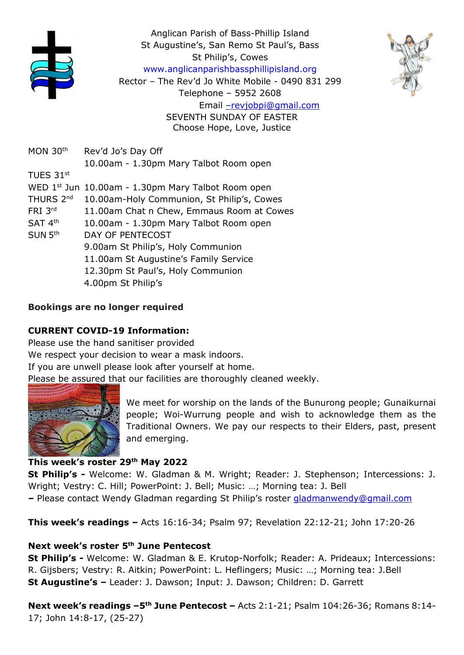





Rector – The Rev'd Jo White Mobile - 0490 831 299

MON 30<sup>th</sup> Rev'd Jo's Day Off 10.00am - 1.30pm Mary Talbot Room open TUES  $31^{\rm st}$ WED 1<sup>st</sup> Jun 10.00am - 1.30pm Mary Talbot Room open THURS 2<sup>nd</sup> 10.00am-Holy Communion, St Philip's, Cowes FRI 3rd 11.00am Chat n Chew, Emmaus Room at Cowes SAT 4<sup>th</sup> 10.00am - 1.30pm Mary Talbot Room open  $SUN 5<sup>th</sup>$ DAY OF PENTECOST 9.00am St Philip's, Holy Communion 11.00am St Augustine's Family Service 12.30pm St Paul's, Holy Communion 4.00pm St Philip's

### Bookings are no longer required

## CURRENT COVID-19 Information:

Please use the hand sanitiser provided We respect your decision to wear a mask indoors. If you are unwell please look after yourself at home. Please be assured that our facilities are thoroughly cleaned weekly.



We meet for worship on the lands of the Bunurong people; Gunaikurnai people; Woi-Wurrung people and wish to acknowledge them as the Traditional Owners. We pay our respects to their Elders, past, present and emerging.

### This week's roster 29th May 2022

St Philip's - Welcome: W. Gladman & M. Wright; Reader: J. Stephenson; Intercessions: J. Wright; Vestry: C. Hill; PowerPoint: J. Bell; Music: …; Morning tea: J. Bell

– Please contact Wendy Gladman regarding St Philip's roster gladmanwendy@gmail.com

This week's readings – Acts 16:16-34; Psalm 97; Revelation 22:12-21; John 17:20-26

### Next week's roster 5<sup>th</sup> June Pentecost

St Philip's - Welcome: W. Gladman & E. Krutop-Norfolk; Reader: A. Prideaux; Intercessions: R. Gijsbers; Vestry: R. Aitkin; PowerPoint: L. Heflingers; Music: …; Morning tea: J.Bell St Augustine's – Leader: J. Dawson; Input: J. Dawson; Children: D. Garrett

Next week's readings -5<sup>th</sup> June Pentecost - Acts 2:1-21; Psalm 104:26-36; Romans 8:14-17; John 14:8-17, (25-27)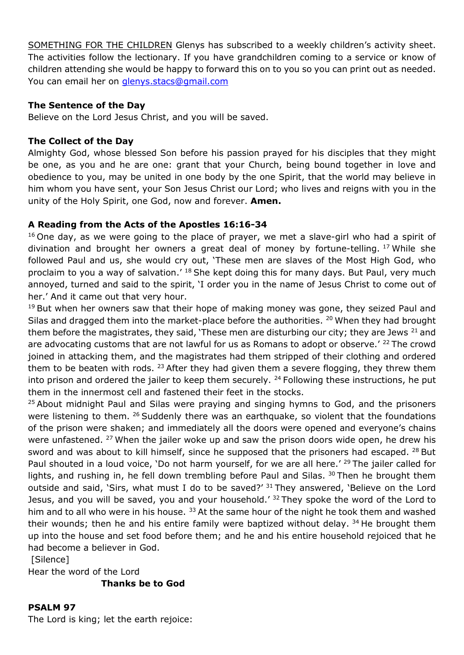SOMETHING FOR THE CHILDREN Glenys has subscribed to a weekly children's activity sheet. The activities follow the lectionary. If you have grandchildren coming to a service or know of children attending she would be happy to forward this on to you so you can print out as needed. You can email her on glenys.stacs@gmail.com

### The Sentence of the Day

Believe on the Lord Jesus Christ, and you will be saved.

#### The Collect of the Day

Almighty God, whose blessed Son before his passion prayed for his disciples that they might be one, as you and he are one: grant that your Church, being bound together in love and obedience to you, may be united in one body by the one Spirit, that the world may believe in him whom you have sent, your Son Jesus Christ our Lord; who lives and reigns with you in the unity of the Holy Spirit, one God, now and forever. Amen.

### A Reading from the Acts of the Apostles 16:16-34

 $16$  One day, as we were going to the place of prayer, we met a slave-girl who had a spirit of divination and brought her owners a great deal of money by fortune-telling. <sup>17</sup> While she followed Paul and us, she would cry out, 'These men are slaves of the Most High God, who proclaim to you a way of salvation.<sup>' 18</sup> She kept doing this for many days. But Paul, very much annoyed, turned and said to the spirit, 'I order you in the name of Jesus Christ to come out of her.' And it came out that very hour.

 $19$  But when her owners saw that their hope of making money was gone, they seized Paul and Silas and dragged them into the market-place before the authorities. <sup>20</sup> When they had brought them before the magistrates, they said, 'These men are disturbing our city; they are Jews<sup>21</sup> and are advocating customs that are not lawful for us as Romans to adopt or observe.<sup> $\prime$  22</sup> The crowd joined in attacking them, and the magistrates had them stripped of their clothing and ordered them to be beaten with rods.  $23$  After they had given them a severe flogging, they threw them into prison and ordered the jailer to keep them securely.  $24$  Following these instructions, he put them in the innermost cell and fastened their feet in the stocks.

<sup>25</sup> About midnight Paul and Silas were praying and singing hymns to God, and the prisoners were listening to them.  $26$  Suddenly there was an earthquake, so violent that the foundations of the prison were shaken; and immediately all the doors were opened and everyone's chains were unfastened. <sup>27</sup> When the jailer woke up and saw the prison doors wide open, he drew his sword and was about to kill himself, since he supposed that the prisoners had escaped.  $^{28}$  But Paul shouted in a loud voice, 'Do not harm yourself, for we are all here.' <sup>29</sup> The jailer called for lights, and rushing in, he fell down trembling before Paul and Silas.  $30$  Then he brought them outside and said, 'Sirs, what must I do to be saved?'  $31$  They answered, 'Believe on the Lord Jesus, and you will be saved, you and your household.' <sup>32</sup>They spoke the word of the Lord to him and to all who were in his house.  $33$  At the same hour of the night he took them and washed their wounds; then he and his entire family were baptized without delay.  $34$  He brought them up into the house and set food before them; and he and his entire household rejoiced that he had become a believer in God.

[Silence]

Hear the word of the Lord

Thanks be to God

#### PSALM 97

The Lord is king; let the earth rejoice: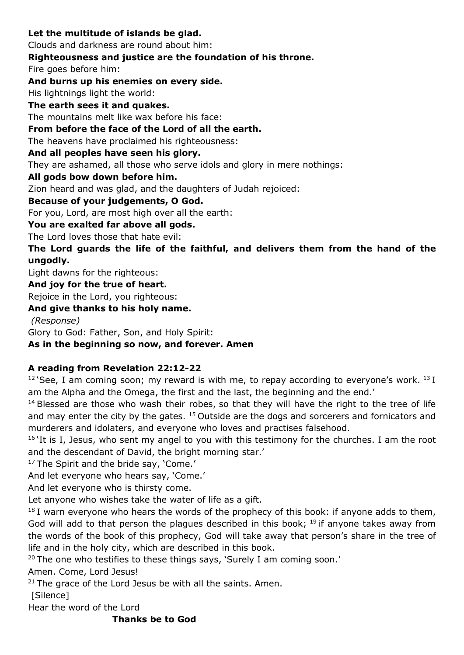## Let the multitude of islands be glad. Clouds and darkness are round about him: Righteousness and justice are the foundation of his throne. Fire goes before him: And burns up his enemies on every side. His lightnings light the world: The earth sees it and quakes. The mountains melt like wax before his face: From before the face of the Lord of all the earth. The heavens have proclaimed his righteousness: And all peoples have seen his glory. They are ashamed, all those who serve idols and glory in mere nothings: All gods bow down before him. Zion heard and was glad, and the daughters of Judah rejoiced: Because of your judgements, O God. For you, Lord, are most high over all the earth: You are exalted far above all gods. The Lord loves those that hate evil: The Lord guards the life of the faithful, and delivers them from the hand of the ungodly. Light dawns for the righteous: And joy for the true of heart. Rejoice in the Lord, you righteous: And give thanks to his holy name. (Response)

Glory to God: Father, Son, and Holy Spirit:

# As in the beginning so now, and forever. Amen

#### A reading from Revelation 22:12-22

 $12$  See, I am coming soon; my reward is with me, to repay according to everyone's work.  $13$  I am the Alpha and the Omega, the first and the last, the beginning and the end.'

 $14$  Blessed are those who wash their robes, so that they will have the right to the tree of life and may enter the city by the gates.  $15$  Outside are the dogs and sorcerers and fornicators and murderers and idolaters, and everyone who loves and practises falsehood.

 $16$  It is I, Jesus, who sent my angel to you with this testimony for the churches. I am the root and the descendant of David, the bright morning star.'

<sup>17</sup>The Spirit and the bride say, 'Come.'

And let everyone who hears say, 'Come.'

And let everyone who is thirsty come.

Let anyone who wishes take the water of life as a gift.

 $18$  I warn everyone who hears the words of the prophecy of this book: if anyone adds to them, God will add to that person the plagues described in this book;  $19$  if anyone takes away from the words of the book of this prophecy, God will take away that person's share in the tree of life and in the holy city, which are described in this book.

 $20$  The one who testifies to these things says, 'Surely I am coming soon.'

Amen. Come, Lord Jesus!

 $21$  The grace of the Lord Jesus be with all the saints. Amen.

[Silence]

Hear the word of the Lord

### Thanks be to God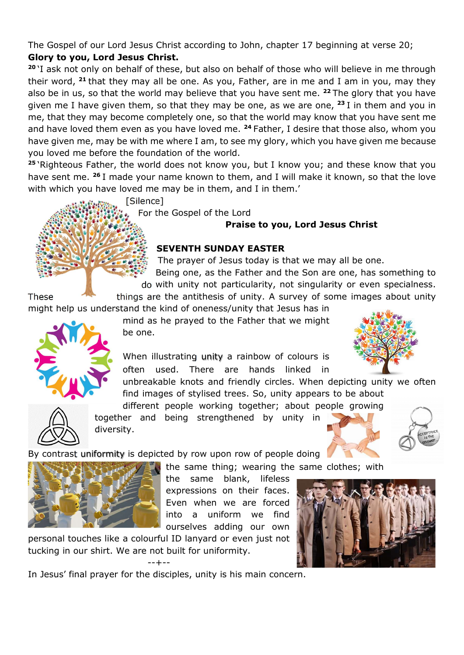The Gospel of our Lord Jesus Christ according to John, chapter 17 beginning at verse 20; Glory to you, Lord Jesus Christ.

<sup>20</sup>'I ask not only on behalf of these, but also on behalf of those who will believe in me through their word,  $21$  that they may all be one. As you, Father, are in me and I am in you, may they also be in us, so that the world may believe that you have sent me.  $22$  The glory that you have given me I have given them, so that they may be one, as we are one,  $23$  I in them and you in me, that they may become completely one, so that the world may know that you have sent me and have loved them even as you have loved me. <sup>24</sup> Father, I desire that those also, whom you have given me, may be with me where I am, to see my glory, which you have given me because you loved me before the foundation of the world.

<sup>25</sup>'Righteous Father, the world does not know you, but I know you; and these know that you have sent me. <sup>26</sup> I made your name known to them, and I will make it known, so that the love with which you have loved me may be in them, and I in them.'

[Silence]

For the Gospel of the Lord

### Praise to you, Lord Jesus Christ

### SEVENTH SUNDAY EASTER

The prayer of Jesus today is that we may all be one.

Being one, as the Father and the Son are one, has something to do with unity not particularity, not singularity or even specialness.

These things are the antithesis of unity. A survey of some images about unity might help us understand the kind of oneness/unity that Jesus has in

> mind as he prayed to the Father that we might be one.

When illustrating unity a rainbow of colours is often used. There are hands linked in

unbreakable knots and friendly circles. When depicting unity we often find images of stylised trees. So, unity appears to be about



different people working together; about people growing together and being strengthened by unity in diversity.

By contrast uniformity is depicted by row upon row of people doing



the same thing; wearing the same clothes; with

the same blank, lifeless expressions on their faces. Even when we are forced into a uniform we find ourselves adding our own

personal touches like a colourful ID lanyard or even just not tucking in our shirt. We are not built for uniformity.

--+--



In Jesus' final prayer for the disciples, unity is his main concern.

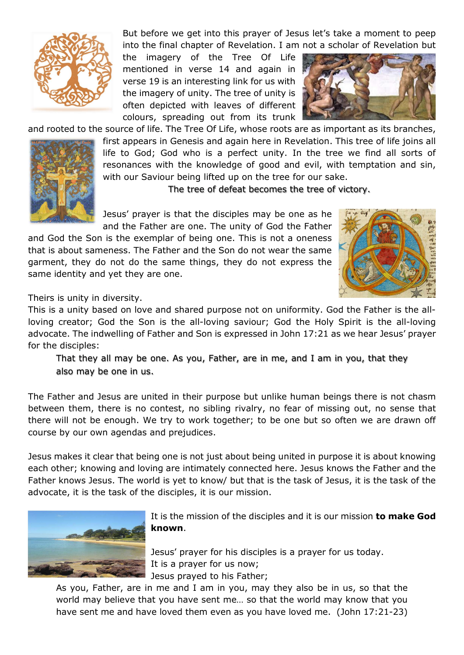

But before we get into this prayer of Jesus let's take a moment to peep into the final chapter of Revelation. I am not a scholar of Revelation but

the imagery of the Tree Of Life mentioned in verse 14 and again in verse 19 is an interesting link for us with the imagery of unity. The tree of unity is often depicted with leaves of different colours, spreading out from its trunk



and rooted to the source of life. The Tree Of Life, whose roots are as important as its branches,



first appears in Genesis and again here in Revelation. This tree of life joins all life to God; God who is a perfect unity. In the tree we find all sorts of resonances with the knowledge of good and evil, with temptation and sin, with our Saviour being lifted up on the tree for our sake.

The tree of defeat becomes the tree of victory.

Jesus' prayer is that the disciples may be one as he and the Father are one. The unity of God the Father

and God the Son is the exemplar of being one. This is not a oneness that is about sameness. The Father and the Son do not wear the same garment, they do not do the same things, they do not express the same identity and yet they are one.



Theirs is unity in diversity.

This is a unity based on love and shared purpose not on uniformity. God the Father is the allloving creator; God the Son is the all-loving saviour; God the Holy Spirit is the all-loving advocate. The indwelling of Father and Son is expressed in John 17:21 as we hear Jesus' prayer for the disciples:

That they all may be one. As you, Father, are in me, and I am in you, that they also may be one in us.

The Father and Jesus are united in their purpose but unlike human beings there is not chasm between them, there is no contest, no sibling rivalry, no fear of missing out, no sense that there will not be enough. We try to work together; to be one but so often we are drawn off course by our own agendas and prejudices.

Jesus makes it clear that being one is not just about being united in purpose it is about knowing each other; knowing and loving are intimately connected here. Jesus knows the Father and the Father knows Jesus. The world is yet to know/ but that is the task of Jesus, it is the task of the advocate, it is the task of the disciples, it is our mission.



It is the mission of the disciples and it is our mission **to make God** known.

Jesus' prayer for his disciples is a prayer for us today. It is a prayer for us now; Jesus prayed to his Father;

As you, Father, are in me and I am in you, may they also be in us, so that the world may believe that you have sent me… so that the world may know that you have sent me and have loved them even as you have loved me. (John 17:21-23)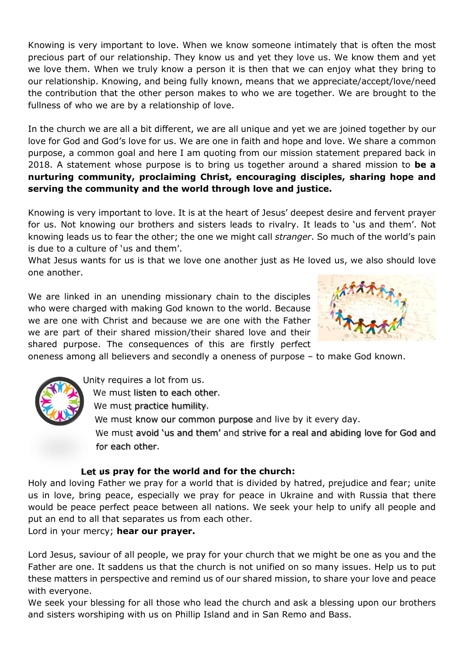Knowing is very important to love. When we know someone intimately that is often the most precious part of our relationship. They know us and yet they love us. We know them and yet we love them. When we truly know a person it is then that we can enjoy what they bring to our relationship. Knowing, and being fully known, means that we appreciate/accept/love/need the contribution that the other person makes to who we are together. We are brought to the fullness of who we are by a relationship of love.

In the church we are all a bit different, we are all unique and yet we are joined together by our love for God and God's love for us. We are one in faith and hope and love. We share a common purpose, a common goal and here I am quoting from our mission statement prepared back in 2018. A statement whose purpose is to bring us together around a shared mission to be a nurturing community, proclaiming Christ, encouraging disciples, sharing hope and serving the community and the world through love and justice.

Knowing is very important to love. It is at the heart of Jesus' deepest desire and fervent prayer for us. Not knowing our brothers and sisters leads to rivalry. It leads to 'us and them'. Not knowing leads us to fear the other; the one we might call stranger. So much of the world's pain is due to a culture of 'us and them'.

What Jesus wants for us is that we love one another just as He loved us, we also should love one another.

We are linked in an unending missionary chain to the disciples who were charged with making God known to the world. Because we are one with Christ and because we are one with the Father we are part of their shared mission/their shared love and their shared purpose. The consequences of this are firstly perfect



oneness among all believers and secondly a oneness of purpose – to make God known.



Unity requires a lot from us.

We must listen to each other.

We must practice humility.

We must know our common purpose and live by it every day.

We must avoid 'us and them' and strive for a real and abiding love for God and for each other.

#### Let us pray for the world and for the church:

Holy and loving Father we pray for a world that is divided by hatred, prejudice and fear; unite us in love, bring peace, especially we pray for peace in Ukraine and with Russia that there would be peace perfect peace between all nations. We seek your help to unify all people and put an end to all that separates us from each other.

Lord in your mercy; hear our prayer.

Lord Jesus, saviour of all people, we pray for your church that we might be one as you and the Father are one. It saddens us that the church is not unified on so many issues. Help us to put these matters in perspective and remind us of our shared mission, to share your love and peace with everyone.

We seek your blessing for all those who lead the church and ask a blessing upon our brothers and sisters worshiping with us on Phillip Island and in San Remo and Bass.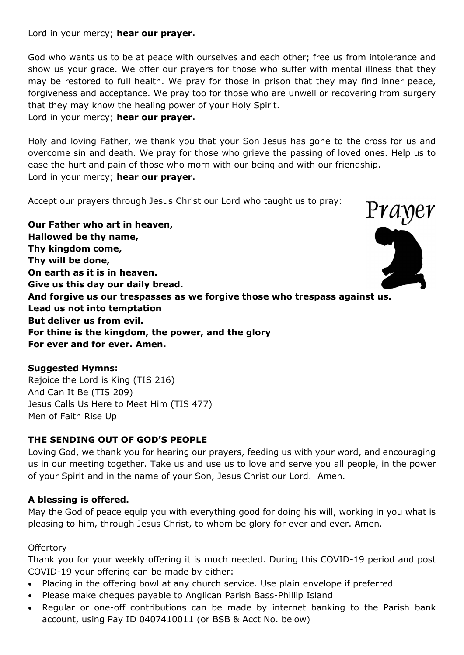Lord in your mercy; hear our prayer.

God who wants us to be at peace with ourselves and each other; free us from intolerance and show us your grace. We offer our prayers for those who suffer with mental illness that they may be restored to full health. We pray for those in prison that they may find inner peace, forgiveness and acceptance. We pray too for those who are unwell or recovering from surgery that they may know the healing power of your Holy Spirit.

Lord in your mercy; hear our prayer.

Holy and loving Father, we thank you that your Son Jesus has gone to the cross for us and overcome sin and death. We pray for those who grieve the passing of loved ones. Help us to ease the hurt and pain of those who morn with our being and with our friendship. Lord in your mercy; hear our prayer.

Accept our prayers through Jesus Christ our Lord who taught us to pray:

Prayer Our Father who art in heaven, Hallowed be thy name, Thy kingdom come, Thy will be done, On earth as it is in heaven. Give us this day our daily bread. And forgive us our trespasses as we forgive those who trespass against us. Lead us not into temptation But deliver us from evil. For thine is the kingdom, the power, and the glory For ever and for ever. Amen.

#### Suggested Hymns:

Rejoice the Lord is King (TIS 216) And Can It Be (TIS 209) Jesus Calls Us Here to Meet Him (TIS 477) Men of Faith Rise Up

### THE SENDING OUT OF GOD'S PEOPLE

Loving God, we thank you for hearing our prayers, feeding us with your word, and encouraging us in our meeting together. Take us and use us to love and serve you all people, in the power of your Spirit and in the name of your Son, Jesus Christ our Lord. Amen.

### A blessing is offered.

May the God of peace equip you with everything good for doing his will, working in you what is pleasing to him, through Jesus Christ, to whom be glory for ever and ever. Amen.

#### **Offertory**

Thank you for your weekly offering it is much needed. During this COVID-19 period and post COVID-19 your offering can be made by either:

- Placing in the offering bowl at any church service. Use plain envelope if preferred
- Please make cheques payable to Anglican Parish Bass-Phillip Island
- Regular or one-off contributions can be made by internet banking to the Parish bank account, using Pay ID 0407410011 (or BSB & Acct No. below)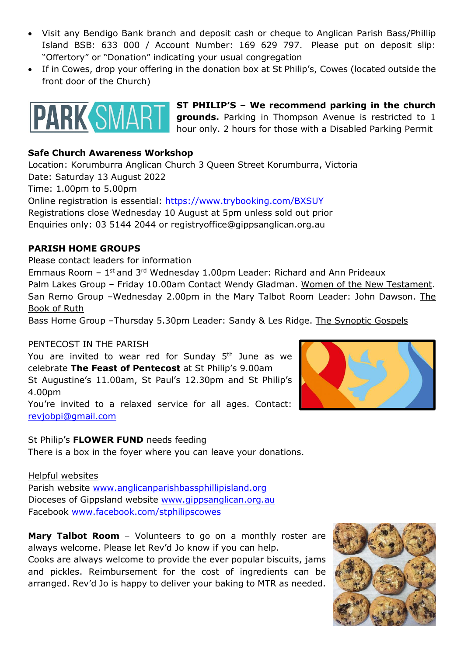- Visit any Bendigo Bank branch and deposit cash or cheque to Anglican Parish Bass/Phillip Island BSB: 633 000 / Account Number: 169 629 797. Please put on deposit slip: "Offertory" or "Donation" indicating your usual congregation
- If in Cowes, drop your offering in the donation box at St Philip's, Cowes (located outside the front door of the Church)



ST PHILIP'S – We recommend parking in the church grounds. Parking in Thompson Avenue is restricted to 1 hour only. 2 hours for those with a Disabled Parking Permit

#### Safe Church Awareness Workshop

Location: Korumburra Anglican Church 3 Queen Street Korumburra, Victoria Date: Saturday 13 August 2022 Time: 1.00pm to 5.00pm Online registration is essential: https://www.trybooking.com/BXSUY Registrations close Wednesday 10 August at 5pm unless sold out prior Enquiries only: 03 5144 2044 or registryoffice@gippsanglican.org.au

#### PARISH HOME GROUPS

Please contact leaders for information Emmaus Room  $-1$ <sup>st</sup> and 3<sup>rd</sup> Wednesday 1.00pm Leader: Richard and Ann Prideaux Palm Lakes Group – Friday 10.00am Contact Wendy Gladman. Women of the New Testament. San Remo Group –Wednesday 2.00pm in the Mary Talbot Room Leader: John Dawson. The Book of Ruth

Bass Home Group –Thursday 5.30pm Leader: Sandy & Les Ridge. The Synoptic Gospels

#### PENTECOST IN THE PARISH

You are invited to wear red for Sunday 5<sup>th</sup> June as we celebrate The Feast of Pentecost at St Philip's 9.00am

St Augustine's 11.00am, St Paul's 12.30pm and St Philip's 4.00pm

You're invited to a relaxed service for all ages. Contact: revjobpi@gmail.com

St Philip's FLOWER FUND needs feeding

There is a box in the foyer where you can leave your donations.

#### Helpful websites

Parish website www.anglicanparishbassphillipisland.org Dioceses of Gippsland website www.gippsanglican.org.au Facebook www.facebook.com/stphilipscowes

Mary Talbot Room - Volunteers to go on a monthly roster are always welcome. Please let Rev'd Jo know if you can help.

Cooks are always welcome to provide the ever popular biscuits, jams and pickles. Reimbursement for the cost of ingredients can be arranged. Rev'd Jo is happy to deliver your baking to MTR as needed.